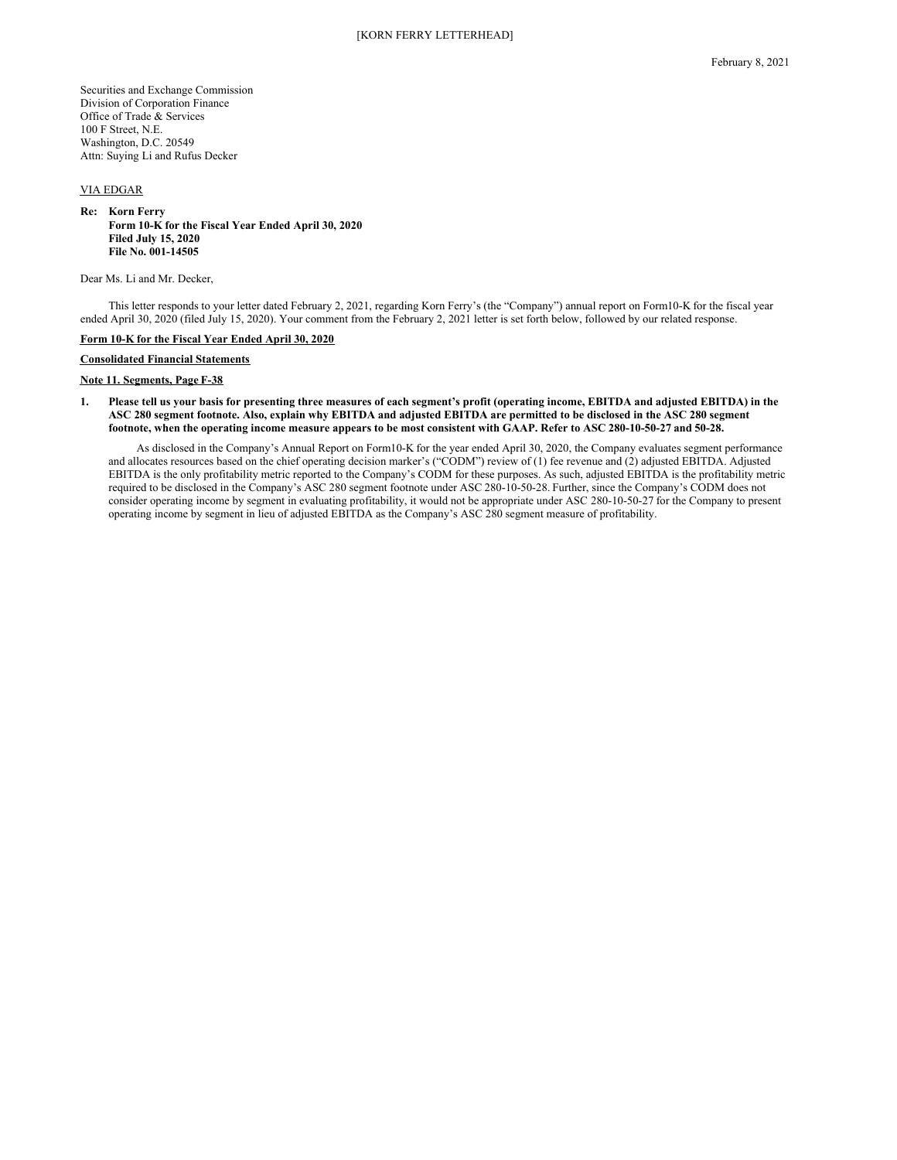Securities and Exchange Commission Division of Corporation Finance Office of Trade & Services 100 F Street, N.E. Washington, D.C. 20549 Attn: Suying Li and Rufus Decker

# VIA EDGAR

#### **Re: Korn Ferry Form 10-K for the Fiscal Year Ended April 30, 2020 Filed July 15, 2020 File No. 001-14505**

Dear Ms. Li and Mr. Decker,

This letter responds to your letter dated February 2, 2021, regarding Korn Ferry's (the "Company") annual report on Form10-K for the fiscal year ended April 30, 2020 (filed July 15, 2020). Your comment from the February 2, 2021 letter is set forth below, followed by our related response.

### **Form 10-K for the Fiscal Year Ended April 30, 2020**

**Consolidated Financial Statements**

### **Note 11. Segments, Page F-38**

# 1. Please tell us your basis for presenting three measures of each segment's profit (operating income, EBITDA and adjusted EBITDA) in the ASC 280 segment footnote. Also, explain why EBITDA and adjusted EBITDA are permitted to be disclosed in the ASC 280 segment footnote, when the operating income measure appears to be most consistent with GAAP. Refer to ASC 280-10-50-27 and 50-28.

As disclosed in the Company's Annual Report on Form10-K for the year ended April 30, 2020, the Company evaluates segment performance and allocates resources based on the chief operating decision marker's ("CODM") review of (1) fee revenue and (2) adjusted EBITDA. Adjusted EBITDA is the only profitability metric reported to the Company's CODM for these purposes. As such, adjusted EBITDA is the profitability metric required to be disclosed in the Company's ASC 280 segment footnote under ASC 280-10-50-28. Further, since the Company's CODM does not consider operating income by segment in evaluating profitability, it would not be appropriate under ASC 280-10-50-27 for the Company to present operating income by segment in lieu of adjusted EBITDA as the Company's ASC 280 segment measure of profitability.